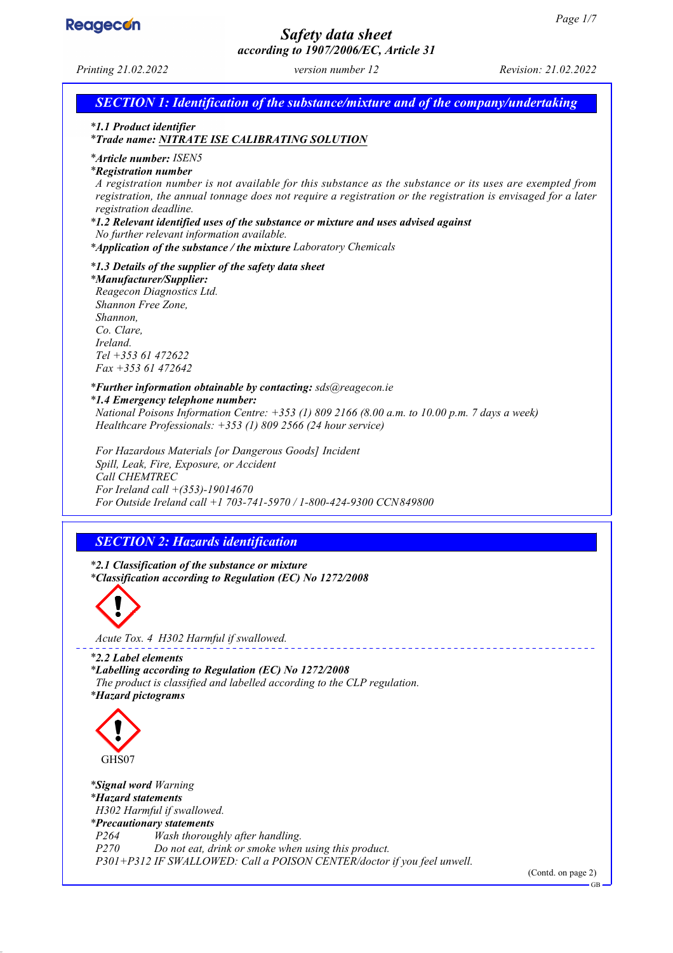

# *Safety data sheet*

*according to 1907/2006/EC, Article 31 Printing 21.02.2022 version number 12 Revision: 21.02.2022 SECTION 1: Identification of the substance/mixture and of the company/undertaking \* 1.1 Product identifier \* Trade name: NITRATE ISE CALIBRATING SOLUTION \* Article number: ISEN5 \* Registration number A registration number is not available for this substance as the substance or its uses are exempted from registration, the annual tonnage does not require a registration or the registration is envisaged for a later registration deadline. \* 1.2 Relevant identified uses of the substance or mixture and uses advised against No further relevant information available. \* Application of the substance / the mixture Laboratory Chemicals \* 1.3 Details of the supplier of the safety data sheet \* Manufacturer/Supplier: Reagecon Diagnostics Ltd. Shannon Free Zone, Shannon, Co. Clare, Ireland. Tel +353 61 472622 Fax +353 61 472642 \* Further information obtainable by contacting: sds@reagecon.ie \* 1.4 Emergency telephone number: National Poisons Information Centre: +353 (1) 809 2166 (8.00 a.m. to 10.00 p.m. 7 days a week) Healthcare Professionals: +353 (1) 809 2566 (24 hour service) For Hazardous Materials [or Dangerous Goods] Incident Spill, Leak, Fire, Exposure, or Accident Call CHEMTREC For Ireland call +(353)-19014670 For Outside Ireland call +1 703-741-5970 / 1-800-424-9300 CCN849800 SECTION 2: Hazards identification \* 2.1 Classification of the substance or mixture \* Classification according to Regulation (EC) No 1272/2008 Acute Tox. 4 H302 Harmful if swallowed. \* 2.2 Label elements \* Labelling according to Regulation (EC) No 1272/2008 The product is classified and labelled according to the CLP regulation. \* Hazard pictograms* GHS07 *\* Signal word Warning*

*\* Hazard statements H302 Harmful if swallowed. \* Precautionary statements P264 Wash thoroughly after handling. P<sub>2</sub> Do not eat, drink or smoke when using this product. P301+P312 IF SWALLOWED: Call a POISON CENTER/doctor if you feel unwell.*

(Contd. on page 2)

GB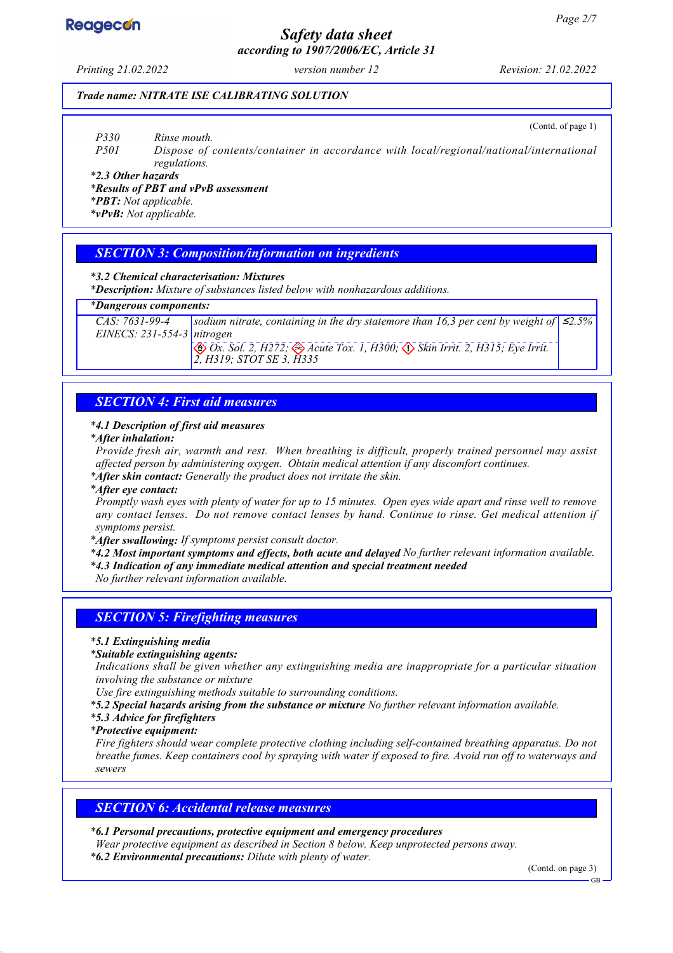# **Reagecon**

# *Safety data sheet according to 1907/2006/EC, Article 31*

# *Trade name: NITRATE ISE CALIBRATING SOLUTION*

(Contd. of page 1)

*P330 Rinse mouth.*

*P501 Dispose of contents/container in accordance with local/regional/national/international regulations.*

*\* 2.3 Other hazards*

*\* Results of PBT and vPvB assessment*

*\* PBT: Not applicable.*

*\* vPvB: Not applicable.*

# *SECTION 3: Composition/information on ingredients*

*\* 3.2 Chemical characterisation: Mixtures*

*\* Description: Mixture of substances listed below with nonhazardous additions.*

### *\* Dangerous components:*

*CAS: 7631-99-4 EINECS: 231-554-3 nitrogen sodium nitrate, containing in the dry statemore than 16,3 per cent by weight of Ox. Sol. 2, H272; Acute Tox. 1, H300; Skin Irrit. 2, H315; Eye Irrit. 2, H319; STOT SE 3, H335* ≤*2.5%*

# *SECTION 4: First aid measures*

## *\* 4.1 Description of first aid measures*

### *\* After inhalation:*

*Provide fresh air, warmth and rest. When breathing is difficult, properly trained personnel may assist affected person by administering oxygen. Obtain medical attention if any discomfort continues.*

*\* After skin contact: Generally the product does not irritate the skin.*

### *\* After eye contact:*

*Promptly wash eyes with plenty of water for up to 15 minutes. Open eyes wide apart and rinse well to remove any contact lenses. Do not remove contact lenses by hand. Continue to rinse. Get medical attention if symptoms persist.*

*\* After swallowing: If symptoms persist consult doctor.*

*\* 4.2 Most important symptoms and effects, both acute and delayed No further relevant information available.*

*\* 4.3 Indication of any immediate medical attention and special treatment needed*

*No further relevant information available.*

# *SECTION 5: Firefighting measures*

*\* 5.1 Extinguishing media*

*\* Suitable extinguishing agents:*

*Indications shall be given whether any extinguishing media are inappropriate for a particular situation involving the substance or mixture*

*Use fire extinguishing methods suitable to surrounding conditions.*

- *\* 5.2 Special hazards arising from the substance or mixture No further relevant information available.*
- *\* 5.3 Advice for firefighters*
- *\* Protective equipment:*

*Fire fighters should wear complete protective clothing including self-contained breathing apparatus. Do not breathe fumes. Keep containers cool by spraying with water if exposed to fire. Avoid run off to waterways and sewers*

# *SECTION 6: Accidental release measures*

# *\* 6.1 Personal precautions, protective equipment and emergency procedures*

*Wear protective equipment as described in Section 8 below. Keep unprotected persons away.*

*\* 6.2 Environmental precautions: Dilute with plenty of water.*

(Contd. on page 3)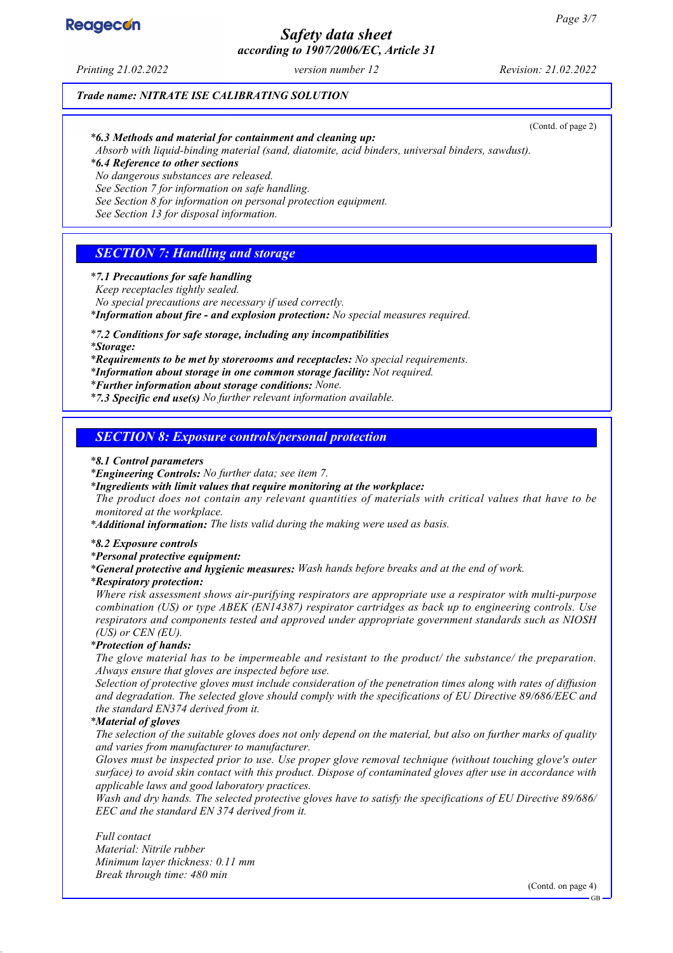# *Safety data sheet according to 1907/2006/EC, Article 31*

*Printing 21.02.2022 version number 12 Revision: 21.02.2022*

# *Trade name: NITRATE ISE CALIBRATING SOLUTION*

(Contd. of page 2)

# *\* 6.3 Methods and material for containment and cleaning up:*

*Absorb with liquid-binding material (sand, diatomite, acid binders, universal binders, sawdust).*

*\* 6.4 Reference to other sections*

*No dangerous substances are released.*

*See Section 7 for information on safe handling.*

*See Section 8 for information on personal protection equipment.*

*See Section 13 for disposal information.*

# *SECTION 7: Handling and storage*

# *\* 7.1 Precautions for safe handling*

*Keep receptacles tightly sealed.*

*No special precautions are necessary if used correctly.*

*\* Information about fire - and explosion protection: No special measures required.*

# *\* 7.2 Conditions for safe storage, including any incompatibilities*

*\* Storage:*

*\* Requirements to be met by storerooms and receptacles: No special requirements.*

*\* Information about storage in one common storage facility: Not required.*

*\* Further information about storage conditions: None.*

*\* 7.3 Specific end use(s) No further relevant information available.*

# *SECTION 8: Exposure controls/personal protection*

### *\* 8.1 Control parameters*

*\* Engineering Controls: No further data; see item 7.*

*\* Ingredients with limit values that require monitoring at the workplace:*

*The product does not contain any relevant quantities of materials with critical values that have to be monitored at the workplace.*

*\* Additional information: The lists valid during the making were used as basis.*

### *\* 8.2 Exposure controls*

*\* Personal protective equipment:*

*\* General protective and hygienic measures: Wash hands before breaks and at the end of work.*

### *\* Respiratory protection:*

*Where risk assessment shows air-purifying respirators are appropriate use a respirator with multi-purpose combination (US) or type ABEK (EN14387) respirator cartridges as back up to engineering controls. Use respirators and components tested and approved under appropriate government standards such as NIOSH (US) or CEN (EU).*

### *\* Protection of hands:*

*The glove material has to be impermeable and resistant to the product/ the substance/ the preparation. Always ensure that gloves are inspected before use.*

*Selection of protective gloves must include consideration of the penetration times along with rates of diffusion and degradation. The selected glove should comply with the specifications of EU Directive 89/686/EEC and the standard EN374 derived from it.*

### *\* Material of gloves*

*The selection of the suitable gloves does not only depend on the material, but also on further marks of quality and varies from manufacturer to manufacturer.*

*Gloves must be inspected prior to use. Use proper glove removal technique (without touching glove's outer surface) to avoid skin contact with this product. Dispose of contaminated gloves after use in accordance with applicable laws and good laboratory practices.*

*Wash and dry hands. The selected protective gloves have to satisfy the specifications of EU Directive 89/686/ EEC and the standard EN 374 derived from it.*

*Full contact Material: Nitrile rubber Minimum layer thickness: 0.11 mm Break through time: 480 min*

(Contd. on page 4)

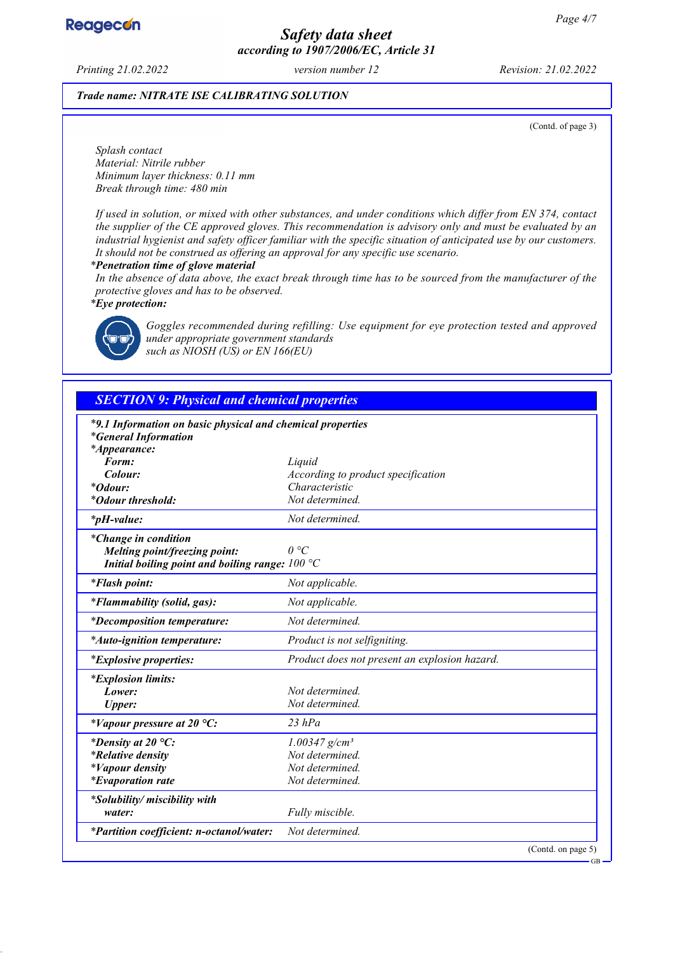

# *Safety data sheet according to 1907/2006/EC, Article 31*

*Printing 21.02.2022 version number 12 Revision: 21.02.2022*

## *Trade name: NITRATE ISE CALIBRATING SOLUTION*

(Contd. of page 3)

*Splash contact Material: Nitrile rubber Minimum layer thickness: 0.11 mm Break through time: 480 min*

*If used in solution, or mixed with other substances, and under conditions which differ from EN 374, contact the supplier of the CE approved gloves. This recommendation is advisory only and must be evaluated by an industrial hygienist and safety officer familiar with the specific situation of anticipated use by our customers. It should not be construed as offering an approval for any specific use scenario.*

*\* Penetration time of glove material*

*In the absence of data above, the exact break through time has to be sourced from the manufacturer of the protective gloves and has to be observed.*

*\* Eye protection:*



*Goggles recommended during refilling: Use equipment for eye protection tested and approved under appropriate government standards such as NIOSH (US) or EN 166(EU)*

# *SECTION 9: Physical and chemical properties*

| *9.1 Information on basic physical and chemical properties |                                               |
|------------------------------------------------------------|-----------------------------------------------|
| <i>*General Information</i>                                |                                               |
| *Appearance:                                               |                                               |
| Form:                                                      | Liquid                                        |
| Colour:                                                    | According to product specification            |
| <i>*Odour:</i>                                             | Characteristic                                |
| <i>*Odour threshold:</i>                                   | Not determined.                               |
| $*_{p}H$ -value:                                           | Not determined.                               |
| <i>*Change in condition</i>                                |                                               |
| Melting point/freezing point:                              | $\theta$ °C                                   |
| Initial boiling point and boiling range: $100 °C$          |                                               |
| <i>*Flash point:</i>                                       | Not applicable.                               |
| <i>*Flammability (solid, gas):</i>                         | Not applicable.                               |
| <i>*Decomposition temperature:</i>                         | Not determined.                               |
| <i>*Auto-ignition temperature:</i>                         | Product is not selfigniting.                  |
| <i>*Explosive properties:</i>                              | Product does not present an explosion hazard. |
| <i>*Explosion limits:</i>                                  |                                               |
| Lower:                                                     | Not determined.                               |
| <b>Upper:</b>                                              | Not determined.                               |
| *Vapour pressure at 20 $^{\circ}C$ :                       | $23$ $hPa$                                    |
| *Density at 20 $^{\circ}C$ :                               | $1.00347$ g/cm <sup>3</sup>                   |
| <i>*Relative density</i>                                   | Not determined.                               |
| <i>*Vapour density</i>                                     | Not determined.                               |
| <i>*Evaporation rate</i>                                   | Not determined.                               |
| *Solubility/ miscibility with                              |                                               |
| water:                                                     | Fully miscible.                               |
| *Partition coefficient: n-octanol/water:                   | Not determined.                               |
|                                                            | (Contd. on page 5)                            |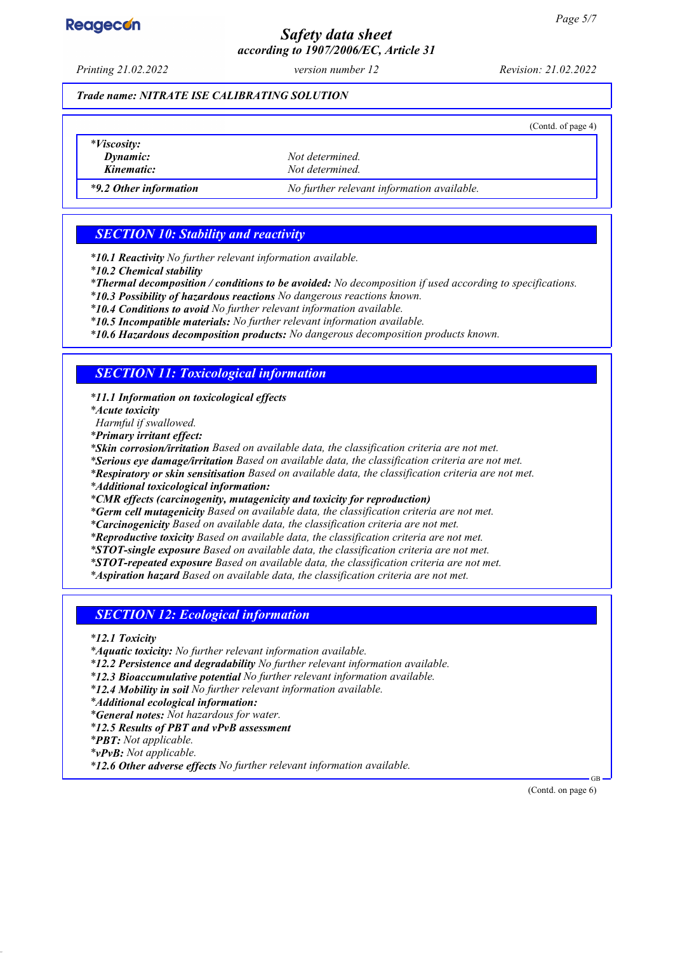# **Reagecon**

# *Safety data sheet according to 1907/2006/EC, Article 31*

*Printing 21.02.2022 version number 12 Revision: 21.02.2022*

## *Trade name: NITRATE ISE CALIBRATING SOLUTION*

|                                              |                                            | (Cond. of page 4) |
|----------------------------------------------|--------------------------------------------|-------------------|
| <i>*Viscosity:</i><br>Dynamic:<br>Kinematic: | Not determined.<br>Not determined.         |                   |
| *9.2 Other information                       | No further relevant information available. |                   |

# *SECTION 10: Stability and reactivity*

*\* 10.1 Reactivity No further relevant information available.*

*\* 10.2 Chemical stability*

*\* Thermal decomposition / conditions to be avoided: No decomposition if used according to specifications.*

*\* 10.3 Possibility of hazardous reactions No dangerous reactions known.*

*\* 10.4 Conditions to avoid No further relevant information available.*

*\* 10.5 Incompatible materials: No further relevant information available.*

*\* 10.6 Hazardous decomposition products: No dangerous decomposition products known.*

# *SECTION 11: Toxicological information*

*\* 11.1 Information on toxicological effects*

*\* Acute toxicity*

*Harmful if swallowed.*

*\* Primary irritant effect:*

*\* Skin corrosion/irritation Based on available data, the classification criteria are not met.*

*\* Serious eye damage/irritation Based on available data, the classification criteria are not met.*

*\* Respiratory or skin sensitisation Based on available data, the classification criteria are not met.*

*\* Additional toxicological information:*

*\* CMR effects (carcinogenity, mutagenicity and toxicity for reproduction)*

*\* Germ cell mutagenicity Based on available data, the classification criteria are not met.*

*\* Carcinogenicity Based on available data, the classification criteria are not met.*

*\* Reproductive toxicity Based on available data, the classification criteria are not met.*

*\* STOT-single exposure Based on available data, the classification criteria are not met.*

*\* STOT-repeated exposure Based on available data, the classification criteria are not met.*

*\* Aspiration hazard Based on available data, the classification criteria are not met.*

# *SECTION 12: Ecological information*

*\* 12.1 Toxicity*

*\* Aquatic toxicity: No further relevant information available.*

*\* 12.2 Persistence and degradability No further relevant information available.*

*\* 12.3 Bioaccumulative potential No further relevant information available.*

*\* 12.4 Mobility in soil No further relevant information available.*

*\* Additional ecological information:*

*\* General notes: Not hazardous for water.*

*\* 12.5 Results of PBT and vPvB assessment*

*\* PBT: Not applicable.*

*\* vPvB: Not applicable.*

*\* 12.6 Other adverse effects No further relevant information available.*

(Contd. on page 6)

GB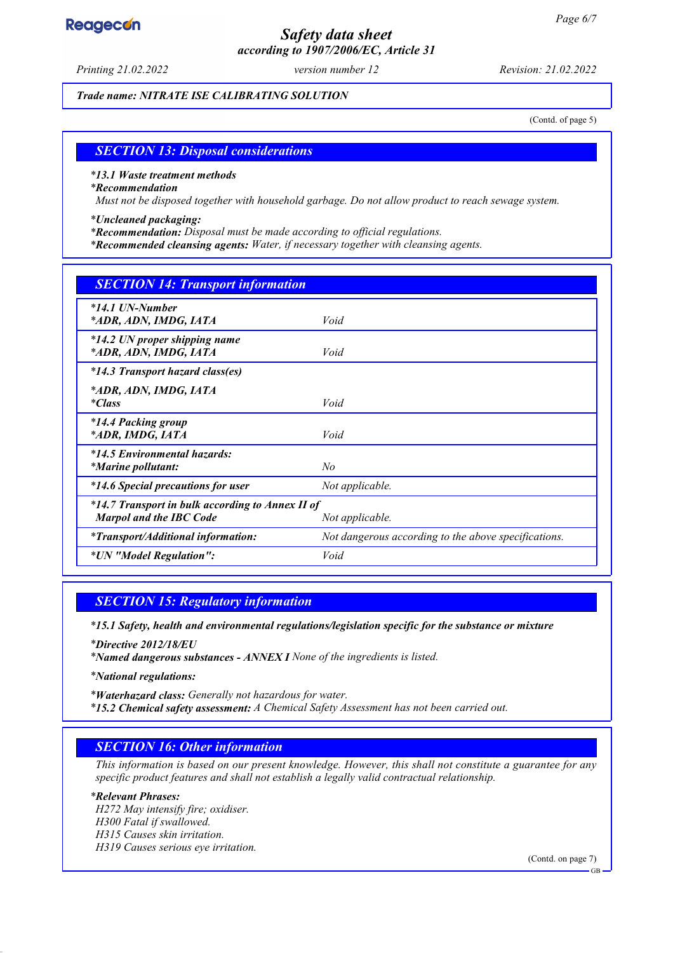# Reagecon

# *Safety data sheet according to 1907/2006/EC, Article 31*

*Printing 21.02.2022 version number 12 Revision: 21.02.2022*

*Trade name: NITRATE ISE CALIBRATING SOLUTION*

(Contd. of page 5)

# *SECTION 13: Disposal considerations*

### *\* 13.1 Waste treatment methods*

### *\* Recommendation*

*Must not be disposed together with household garbage. Do not allow product to reach sewage system.*

### *\* Uncleaned packaging:*

- *\* Recommendation: Disposal must be made according to official regulations.*
- *\* Recommended cleansing agents: Water, if necessary together with cleansing agents.*

| <b>SECTION 14: Transport information</b>                                                              |                                                      |
|-------------------------------------------------------------------------------------------------------|------------------------------------------------------|
| $*14.1$ UN-Number<br>*ADR, ADN, IMDG, IATA                                                            | Void                                                 |
| *14.2 UN proper shipping name<br>*ADR, ADN, IMDG, IATA                                                | Void                                                 |
| *14.3 Transport hazard class(es)                                                                      |                                                      |
| *ADR, ADN, IMDG, IATA<br><i>*Class</i>                                                                | Void                                                 |
| <i>*14.4 Packing group</i><br>*ADR, IMDG, IATA                                                        | Void                                                 |
| *14.5 Environmental hazards:<br><i>*Marine pollutant:</i>                                             | No                                                   |
| <i>*14.6 Special precautions for user</i>                                                             | Not applicable.                                      |
| *14.7 Transport in bulk according to Annex II of<br><b>Marpol and the IBC Code</b><br>Not applicable. |                                                      |
| <i>*Transport/Additional information:</i>                                                             | Not dangerous according to the above specifications. |
| *UN "Model Regulation":                                                                               | Void                                                 |

# *SECTION 15: Regulatory information*

*\* 15.1 Safety, health and environmental regulations/legislation specific for the substance or mixture*

*\* Directive 2012/18/EU*

*\* Named dangerous substances - ANNEX I None of the ingredients is listed.*

*\* National regulations:*

*\* Waterhazard class: Generally not hazardous for water. \* 15.2 Chemical safety assessment: A Chemical Safety Assessment has not been carried out.*

# *SECTION 16: Other information*

*This information is based on our present knowledge. However, this shall not constitute a guarantee for any specific product features and shall not establish a legally valid contractual relationship.*

### *\* Relevant Phrases:*

*H272 May intensify fire; oxidiser. H300 Fatal if swallowed. H315 Causes skin irritation. H319 Causes serious eye irritation.*

(Contd. on page 7)

GB